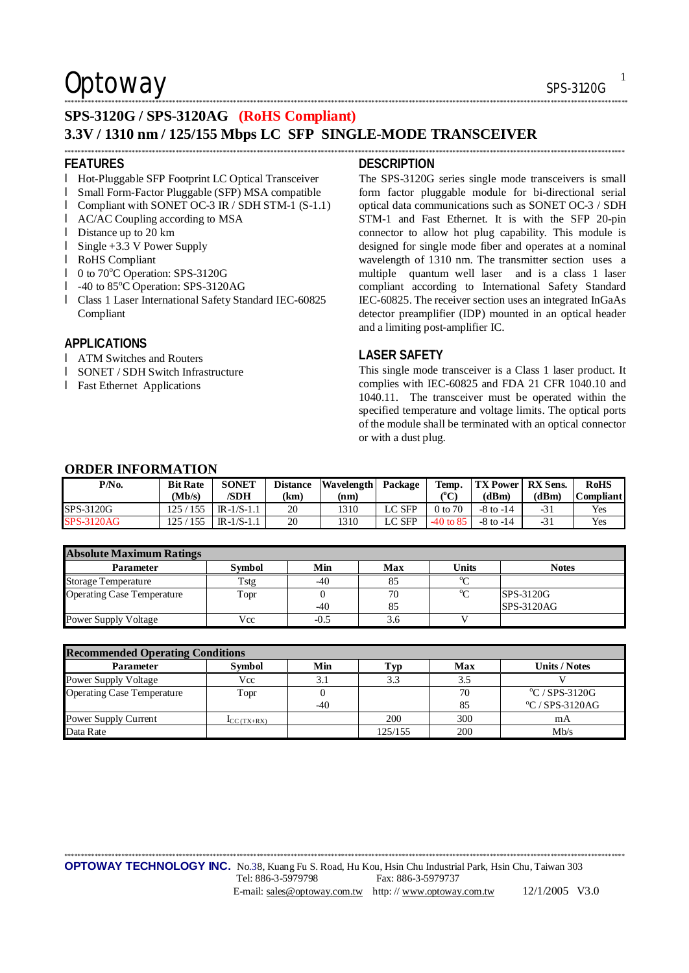$\mathsf{Optionway}$  sps-3120G

1

**SPS-3120G / SPS-3120AG (RoHS Compliant)**

### **3.3V / 1310 nm / 125/155 Mbps LC SFP SINGLE-MODE TRANSCEIVER**

\*\*\*\*\*\*\*\*\*\*\*\*\*\*\*\*\*\*\*\*\*\*\*\*\*\*\*\*\*\*\*\*\*\*\*\*\*\*\*\*\*\*\*\*\*\*\*\*\*\*\*\*\*\*\*\*\*\*\*\*\*\*\*\*\*\*\*\*\*\*\*\*\*\*\*\*\*\*\*\*\*\*\*\*\*\*\*\*\*\*\*\*\*\*\*\*\*\*\*\*\*\*\*\*\*\*\*\*\*\*\*\*\*\*\*\*\*\*\*\*\*\*\*\*\*\*\*\*\*\*\*\*\*\*\*\*\*\*\*\*\*\*\*\*\*\*\*\*\*\*\*\*\*\*\*\*\*\*\*\*\*\*\*\*\*\*

#### **FEATURES**

- l Hot-Pluggable SFP Footprint LC Optical Transceiver
- l Small Form-Factor Pluggable (SFP) MSA compatible
- l Compliant with SONET OC-3 IR / SDH STM-1 (S-1.1)
- l AC/AC Coupling according to MSA
- l Distance up to 20 km
- l Single +3.3 V Power Supply
- l RoHS Compliant
- l 0 to 70°C Operation: SPS-3120G
- l -40 to 85°C Operation: SPS-3120AG
- l Class 1 Laser International Safety Standard IEC-60825 Compliant

#### **APPLICATIONS**

- l ATM Switches and Routers
- l SONET / SDH Switch Infrastructure
- l Fast Ethernet Applications

#### **DESCRIPTION**

\*\*\*\*\*\*\*\*\*\*\*\*\*\*\*\*\*\*\*\*\*\*\*\*\*\*\*\*\*\*\*\*\*\*\*\*\*\*\*\*\*\*\*\*\*\*\*\*\*\*\*\*\*\*\*\*\*\*\*\*\*\*\*\*\*\*\*\*\*\*\*\*\*\*\*\*\*\*\*\*\*\*\*\*\*\*\*\*\*\*\*\*\*\*\*\*\*\*\*\*\*\*\*\*\*\*\*\*\*\*\*\*\*\*\*\*\*\*\*\*\*\*\*\*\*\*\*\*\*\*\*\*\*\*\*\*\*\*\*\*\*\*\*\*\*\*\*\*\*\*\*\*\*\*\*\*\*\*\*\*\*\*\*\*\*\*\*

The SPS-3120G series single mode transceivers is small form factor pluggable module for bi-directional serial optical data communications such as SONET OC-3 / SDH STM-1 and Fast Ethernet. It is with the SFP 20-pin connector to allow hot plug capability. This module is designed for single mode fiber and operates at a nominal wavelength of 1310 nm. The transmitter section uses a multiple quantum well laser and is a class 1 laser compliant according to International Safety Standard IEC-60825. The receiver section uses an integrated InGaAs detector preamplifier (IDP) mounted in an optical header and a limiting post-amplifier IC.

### **LASER SAFETY**

This single mode transceiver is a Class 1 laser product. It complies with IEC-60825 and FDA 21 CFR 1040.10 and 1040.11. The transceiver must be operated within the specified temperature and voltage limits. The optical ports of the module shall be terminated with an optical connector or with a dust plug.

### **ORDER INFORMATION**

| P/No.             | <b>Bit Rate</b><br>Mb/s | <b>SONET</b><br>/SDH | <b>Distance</b><br>(km) | Wavelength<br>(nm) | Package  | Temp.<br>${}^{\circ}C$ | <b>TX Power</b><br>(dBm) | <b>RX</b> Sens.<br>(dBm) | <b>RoHS</b><br><b>Compliant</b> |
|-------------------|-------------------------|----------------------|-------------------------|--------------------|----------|------------------------|--------------------------|--------------------------|---------------------------------|
| SPS-3120G         | 155<br>125 /            | $IR-1/S-1.1$         | 20                      | 1310               | LC SFP   | 0 to 70                | $-8$ to $-14$            | $-31$                    | Yes                             |
| <b>SPS-3120AG</b> | 155                     | $IR-1/S-1.1$         | 20                      | 1310               | $LC$ SFP | $-40$ to 85            | $-8$ to $-14$            | $-31$                    | Yes                             |

| <b>Absolute Maximum Ratings</b>   |        |        |     |              |                  |  |  |
|-----------------------------------|--------|--------|-----|--------------|------------------|--|--|
| <b>Parameter</b>                  | Symbol | Min    | Max | <b>Units</b> | <b>Notes</b>     |  |  |
| <b>Storage Temperature</b>        | Tstg   | -40    |     | $\sim$       |                  |  |  |
| <b>Operating Case Temperature</b> | Topr   |        | 70  | $\sim$       | <b>SPS-3120G</b> |  |  |
|                                   |        | $-40$  | 85  |              | SPS-3120AG       |  |  |
| <b>Power Supply Voltage</b>       | Vcc    | $-0.5$ | 3.6 |              |                  |  |  |

| <b>Recommended Operating Conditions</b> |                                  |       |         |     |                                  |  |  |  |
|-----------------------------------------|----------------------------------|-------|---------|-----|----------------------------------|--|--|--|
| <b>Parameter</b>                        | <b>Symbol</b>                    | Min   | Гур     | Max | <b>Units / Notes</b>             |  |  |  |
| <b>Power Supply Voltage</b>             | Vcc                              | 3.1   | 3.3     | 3.5 |                                  |  |  |  |
| <b>Operating Case Temperature</b>       | Topr                             |       |         | 70  | $\mathrm{^{\circ}C}$ / SPS-3120G |  |  |  |
|                                         |                                  | $-40$ |         | 85  | $\rm ^{o}C/$ SPS-3120AG          |  |  |  |
| Power Supply Current                    | $\mathbf{I}_{\text{CC}}$ (TX+RX) |       | 200     | 300 | mA                               |  |  |  |
| Data Rate                               |                                  |       | 125/155 | 200 | Mb/s                             |  |  |  |

\*\*\*\*\*\*\*\*\*\*\*\*\*\*\*\*\*\*\*\*\*\*\*\*\*\*\*\*\*\*\*\*\*\*\*\*\*\*\*\*\*\*\*\*\*\*\*\*\*\*\*\*\*\*\*\*\*\*\*\*\*\*\*\*\*\*\*\*\*\*\*\*\*\*\*\*\*\*\*\*\*\*\*\*\*\*\*\*\*\*\*\*\*\*\*\*\*\*\*\*\*\*\*\*\*\*\*\*\*\*\*\*\*\*\*\*\*\*\*\*\*\*\*\*\*\*\*\*\*\*\*\*\*\*\*\*\*\*\*\*\*\*\*\*\*\*\*\*\*\*\*\*\*\*\*\*\*\*\*\*\*\*\*\*\*\*

**OPTOWAY TECHNOLOGY INC.** No.38, Kuang Fu S. Road, Hu Kou, Hsin Chu Industrial Park, Hsin Chu, Taiwan 303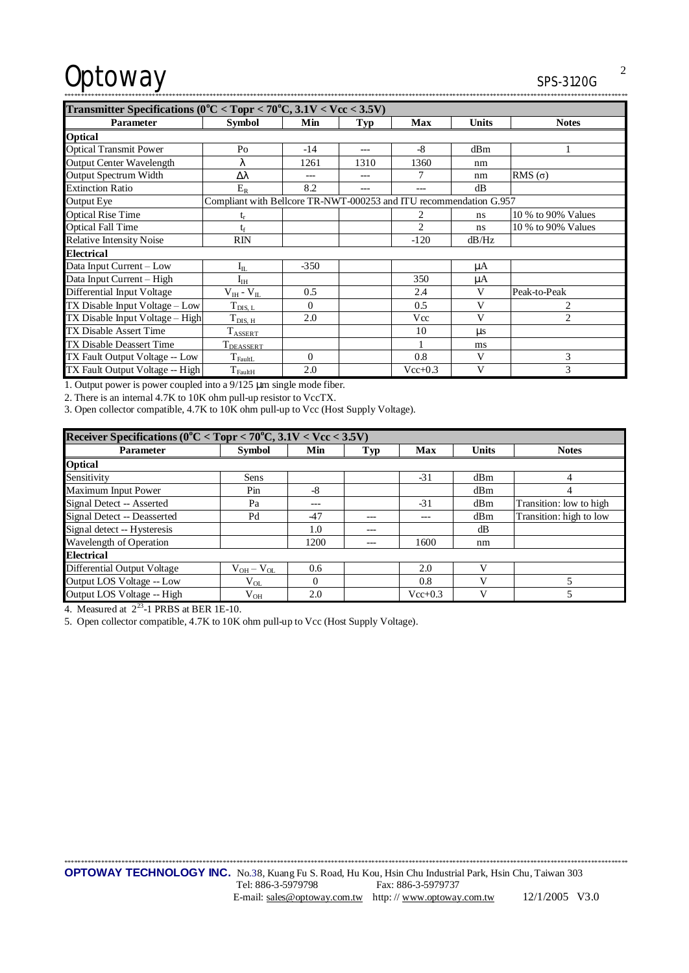# Optoway

 $\overline{2}$ 

| Transmitter Specifications ( $0^{\circ}$ C < Topr < 70 $^{\circ}$ C, 3.1V < Vcc < 3.5V) |                                                                    |          |      |                |              |                    |  |  |
|-----------------------------------------------------------------------------------------|--------------------------------------------------------------------|----------|------|----------------|--------------|--------------------|--|--|
| <b>Parameter</b>                                                                        | <b>Symbol</b>                                                      | Min      | Typ  | <b>Max</b>     | <b>Units</b> | <b>Notes</b>       |  |  |
| <b>Optical</b>                                                                          |                                                                    |          |      |                |              |                    |  |  |
| <b>Optical Transmit Power</b>                                                           | Po                                                                 | $-14$    |      | $-8$           | dBm          |                    |  |  |
| <b>Output Center Wavelength</b>                                                         | λ                                                                  | 1261     | 1310 | 1360           | nm           |                    |  |  |
| Output Spectrum Width                                                                   | Δλ                                                                 | ---      |      | 7              | nm           | RMS $(\sigma)$     |  |  |
| <b>Extinction Ratio</b>                                                                 | $E_R$                                                              | 8.2      |      | ---            | dB           |                    |  |  |
| Output Eye                                                                              | Compliant with Bellcore TR-NWT-000253 and ITU recommendation G.957 |          |      |                |              |                    |  |  |
| <b>Optical Rise Time</b>                                                                |                                                                    |          |      | 2              | ns           | 10 % to 90% Values |  |  |
| <b>Optical Fall Time</b>                                                                | tr                                                                 |          |      | $\overline{c}$ | ns           | 10 % to 90% Values |  |  |
| <b>Relative Intensity Noise</b>                                                         | <b>RIN</b>                                                         |          |      | $-120$         | dB/Hz        |                    |  |  |
| <b>Electrical</b>                                                                       |                                                                    |          |      |                |              |                    |  |  |
| Data Input Current - Low                                                                | $I_{IL}$                                                           | $-350$   |      |                | μA           |                    |  |  |
| Data Input Current - High                                                               | $I_{IH}$                                                           |          |      | 350            | μA           |                    |  |  |
| Differential Input Voltage                                                              | $V_{IH}$ - $V_{II}$                                                | 0.5      |      | 2.4            | V            | Peak-to-Peak       |  |  |
| TX Disable Input Voltage – Low                                                          | $T_{\text{DIS, L}}$                                                | $\Omega$ |      | 0.5            | V            | 2                  |  |  |
| TX Disable Input Voltage - High                                                         | $T_{\rm DIS, H}$                                                   | 2.0      |      | Vcc            | V            | $\overline{c}$     |  |  |
| <b>TX Disable Assert Time</b>                                                           | $T_{\text{ASSERT}}$                                                |          |      | 10             | us           |                    |  |  |
| TX Disable Deassert Time                                                                | <b>T</b> DEASSERT                                                  |          |      |                | ms           |                    |  |  |
| TX Fault Output Voltage -- Low                                                          | $T_{\text{FaultL}}$                                                | $\Omega$ |      | 0.8            | V            | 3                  |  |  |
| TX Fault Output Voltage -- High                                                         | $T_{\text{FaultH}}$                                                | 2.0      |      | $Vec{+}0.3$    | V            | 3                  |  |  |

1. Output power is power coupled into a  $9/125$  µm single mode fiber.

2. There is an internal 4.7K to 10K ohm pull-up resistor to VccTX.

3. Open collector compatible, 4.7K to 10K ohm pull-up to Vcc (Host Supply Voltage).

| Receiver Specifications ( $0^{\circ}$ C < Topr < 70°C, 3.1V < Vcc < 3.5V) |                 |          |       |             |              |                         |  |  |
|---------------------------------------------------------------------------|-----------------|----------|-------|-------------|--------------|-------------------------|--|--|
| <b>Parameter</b>                                                          | <b>Symbol</b>   | Min      | Typ   | Max         | <b>Units</b> | <b>Notes</b>            |  |  |
| <b>Optical</b>                                                            |                 |          |       |             |              |                         |  |  |
| Sensitivity                                                               | Sens            |          |       | $-31$       | dBm          | 4                       |  |  |
| Maximum Input Power                                                       | Pin             | -8       |       |             | dBm          | 4                       |  |  |
| Signal Detect -- Asserted                                                 | Pa              | ---      |       | $-31$       | dBm          | Transition: low to high |  |  |
| Signal Detect -- Deasserted                                               | Pd              | $-47$    | $- -$ |             | dBm          | Transition: high to low |  |  |
| Signal detect -- Hysteresis                                               |                 | 1.0      |       |             | dВ           |                         |  |  |
| Wavelength of Operation                                                   |                 | 1200     |       | 1600        | nm           |                         |  |  |
| <b>Electrical</b>                                                         |                 |          |       |             |              |                         |  |  |
| Differential Output Voltage                                               | $V_{OH}-V_{OL}$ | 0.6      |       | 2.0         |              |                         |  |  |
| Output LOS Voltage -- Low                                                 | $V_{OL}$        | $\Omega$ |       | 0.8         |              |                         |  |  |
| Output LOS Voltage -- High                                                | $V_{OH}$        | 2.0      |       | $Vec{+}0.3$ |              |                         |  |  |

4. Measured at  $2^{23}$ -1 PRBS at BER 1E-10.

5. Open collector compatible, 4.7K to 10K ohm pull-up to Vcc (Host Supply Voltage).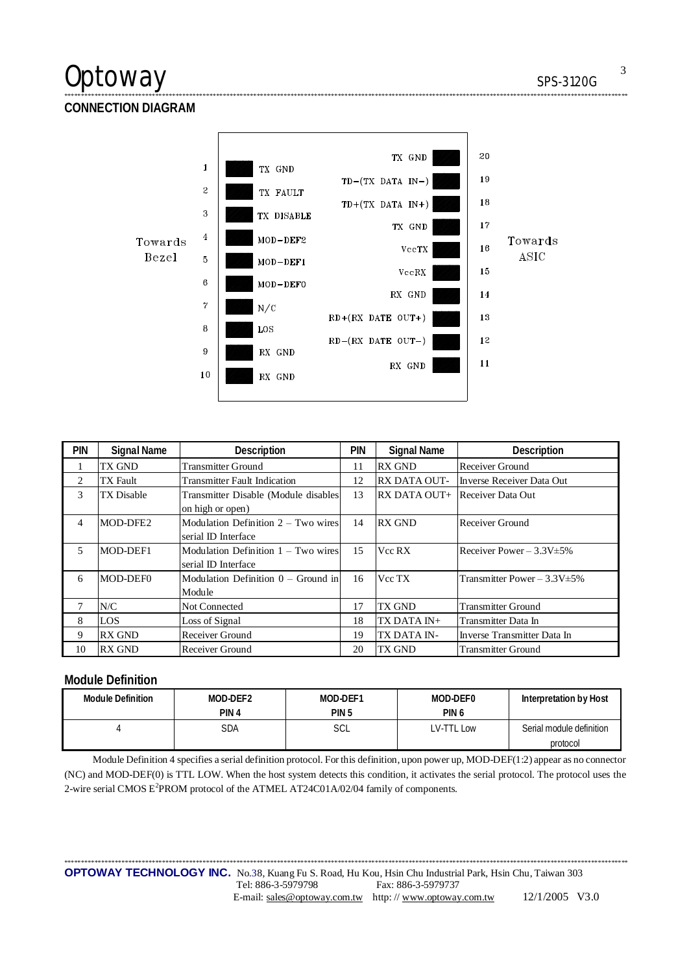## Optoway SPS-3120G

**CONNECTION DIAGRAM** 



\*\*\*\*\*\*\*\*\*\*\*\*\*\*\*\*\*\*\*\*\*\*\*\*\*\*\*\*\*\*\*\*\*\*\*\*\*\*\*\*\*\*\*\*\*\*\*\*\*\*\*\*\*\*\*\*\*\*\*\*\*\*\*\*\*\*\*\*\*\*\*\*\*\*\*\*\*\*\*\*\*\*\*\*\*\*\*\*\*\*\*\*\*\*\*\*\*\*\*\*\*\*\*\*\*\*\*\*\*\*\*\*\*\*\*\*\*\*\*\*\*\*\*\*\*\*\*\*\*\*\*\*\*\*\*\*\*\*\*\*\*\*\*\*\*\*\*\*\*\*\*\*\*\*\*\*\*\*\*\*\*\*\*\*\*\*\*

| <b>PIN</b>     | Signal Name       | Description                                                | PIN | Signal Name         | <b>Description</b>             |
|----------------|-------------------|------------------------------------------------------------|-----|---------------------|--------------------------------|
|                | <b>TX GND</b>     | <b>Transmitter Ground</b>                                  | 11  | <b>RX GND</b>       | Receiver Ground                |
| $\overline{c}$ | <b>TX</b> Fault   | <b>Transmitter Fault Indication</b>                        | 12  | <b>RX DATA OUT-</b> | Inverse Receiver Data Out      |
| 3              | <b>TX</b> Disable | Transmitter Disable (Module disables<br>on high or open)   | 13  | RX DATA OUT+        | Receiver Data Out              |
| 4              | MOD-DFE2          | Modulation Definition 2 – Two wires<br>serial ID Interface | 14  | <b>RX GND</b>       | Receiver Ground                |
| 5              | MOD-DEF1          | Modulation Definition 1 – Two wires<br>serial ID Interface | 15  | Vcc RX              | Receiver Power $-3.3V \pm 5\%$ |
| 6              | MOD-DEF0          | Modulation Definition 0 – Ground in<br>Module              | 16  | Vcc TX              | Transmitter Power - 3.3V±5%    |
| 7              | N/C               | Not Connected                                              | 17  | TX GND              | <b>Transmitter Ground</b>      |
| 8              | LOS               | Loss of Signal                                             | 18  | TX DATA IN+         | Transmitter Data In            |
| 9              | <b>RX GND</b>     | Receiver Ground                                            | 19  | TX DATA IN-         | Inverse Transmitter Data In    |
| 10             | <b>RX GND</b>     | Receiver Ground                                            | 20  | TX GND              | <b>Transmitter Ground</b>      |

### **Module Definition**

| Module Definition | MOD-DEF2         | MOD-DEF1         | MOD-DEF0         | Interpretation by Host   |
|-------------------|------------------|------------------|------------------|--------------------------|
|                   | PIN <sub>4</sub> | PIN <sub>5</sub> | PIN <sub>6</sub> |                          |
|                   | SDA              | SCL              | LV-TTL Low       | Serial module definition |
|                   |                  |                  |                  | protocol                 |

Module Definition 4 specifies a serial definition protocol. For this definition, upon power up, MOD-DEF(1:2) appear as no connector (NC) and MOD-DEF(0) is TTL LOW. When the host system detects this condition, it activates the serial protocol. The protocol uses the 2-wire serial CMOS E<sup>2</sup>PROM protocol of the ATMEL AT24C01A/02/04 family of components.

\*\*\*\*\*\*\*\*\*\*\*\*\*\*\*\*\*\*\*\*\*\*\*\*\*\*\*\*\*\*\*\*\*\*\*\*\*\*\*\*\*\*\*\*\*\*\*\*\*\*\*\*\*\*\*\*\*\*\*\*\*\*\*\*\*\*\*\*\*\*\*\*\*\*\*\*\*\*\*\*\*\*\*\*\*\*\*\*\*\*\*\*\*\*\*\*\*\*\*\*\*\*\*\*\*\*\*\*\*\*\*\*\*\*\*\*\*\*\*\*\*\*\*\*\*\*\*\*\*\*\*\*\*\*\*\*\*\*\*\*\*\*\*\*\*\*\*\*\*\*\*\*\*\*\*\*\*\*\*\*\*\*\*\*\*\*\*